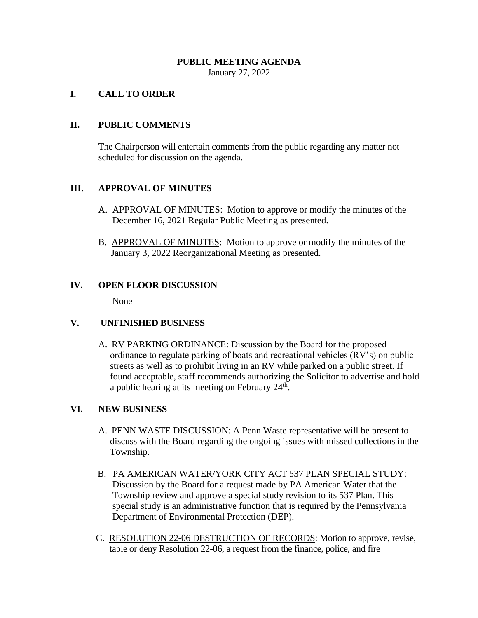### **PUBLIC MEETING AGENDA**

January 27, 2022

#### **I. CALL TO ORDER**

### **II. PUBLIC COMMENTS**

The Chairperson will entertain comments from the public regarding any matter not scheduled for discussion on the agenda.

### **III. APPROVAL OF MINUTES**

- A. APPROVAL OF MINUTES: Motion to approve or modify the minutes of the December 16, 2021 Regular Public Meeting as presented.
- B. APPROVAL OF MINUTES: Motion to approve or modify the minutes of the January 3, 2022 Reorganizational Meeting as presented.

### **IV. OPEN FLOOR DISCUSSION**

None

### **V. UNFINISHED BUSINESS**

A. RV PARKING ORDINANCE: Discussion by the Board for the proposed ordinance to regulate parking of boats and recreational vehicles (RV's) on public streets as well as to prohibit living in an RV while parked on a public street. If found acceptable, staff recommends authorizing the Solicitor to advertise and hold a public hearing at its meeting on February  $24<sup>th</sup>$ .

# **VI. NEW BUSINESS**

- A. PENN WASTE DISCUSSION: A Penn Waste representative will be present to discuss with the Board regarding the ongoing issues with missed collections in the Township.
- B. PA AMERICAN WATER/YORK CITY ACT 537 PLAN SPECIAL STUDY: Discussion by the Board for a request made by PA American Water that the Township review and approve a special study revision to its 537 Plan. This special study is an administrative function that is required by the Pennsylvania Department of Environmental Protection (DEP).
- C. RESOLUTION 22-06 DESTRUCTION OF RECORDS: Motion to approve, revise, table or deny Resolution 22-06, a request from the finance, police, and fire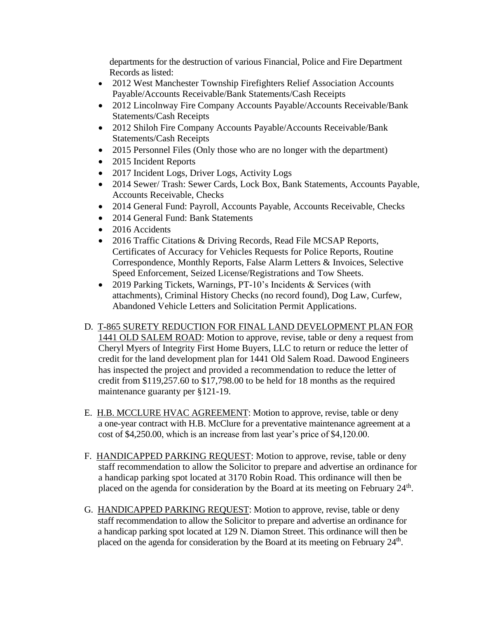departments for the destruction of various Financial, Police and Fire Department Records as listed:

- 2012 West Manchester Township Firefighters Relief Association Accounts Payable/Accounts Receivable/Bank Statements/Cash Receipts
- 2012 Lincolnway Fire Company Accounts Payable/Accounts Receivable/Bank Statements/Cash Receipts
- 2012 Shiloh Fire Company Accounts Payable/Accounts Receivable/Bank Statements/Cash Receipts
- 2015 Personnel Files (Only those who are no longer with the department)
- 2015 Incident Reports
- 2017 Incident Logs, Driver Logs, Activity Logs
- 2014 Sewer/ Trash: Sewer Cards, Lock Box, Bank Statements, Accounts Payable, Accounts Receivable, Checks
- 2014 General Fund: Payroll, Accounts Payable, Accounts Receivable, Checks
- 2014 General Fund: Bank Statements
- 2016 Accidents
- 2016 Traffic Citations & Driving Records, Read File MCSAP Reports, Certificates of Accuracy for Vehicles Requests for Police Reports, Routine Correspondence, Monthly Reports, False Alarm Letters & Invoices, Selective Speed Enforcement, Seized License/Registrations and Tow Sheets.
- 2019 Parking Tickets, Warnings, PT-10's Incidents & Services (with attachments), Criminal History Checks (no record found), Dog Law, Curfew, Abandoned Vehicle Letters and Solicitation Permit Applications.
- D. T-865 SURETY REDUCTION FOR FINAL LAND DEVELOPMENT PLAN FOR 1441 OLD SALEM ROAD: Motion to approve, revise, table or deny a request from Cheryl Myers of Integrity First Home Buyers, LLC to return or reduce the letter of credit for the land development plan for 1441 Old Salem Road. Dawood Engineers has inspected the project and provided a recommendation to reduce the letter of credit from \$119,257.60 to \$17,798.00 to be held for 18 months as the required maintenance guaranty per §121-19.
- E. H.B. MCCLURE HVAC AGREEMENT: Motion to approve, revise, table or deny a one-year contract with H.B. McClure for a preventative maintenance agreement at a cost of \$4,250.00, which is an increase from last year's price of \$4,120.00.
- F. HANDICAPPED PARKING REQUEST: Motion to approve, revise, table or deny staff recommendation to allow the Solicitor to prepare and advertise an ordinance for a handicap parking spot located at 3170 Robin Road. This ordinance will then be placed on the agenda for consideration by the Board at its meeting on February 24<sup>th</sup>.
- G. HANDICAPPED PARKING REQUEST: Motion to approve, revise, table or deny staff recommendation to allow the Solicitor to prepare and advertise an ordinance for a handicap parking spot located at 129 N. Diamon Street. This ordinance will then be placed on the agenda for consideration by the Board at its meeting on February 24<sup>th</sup>.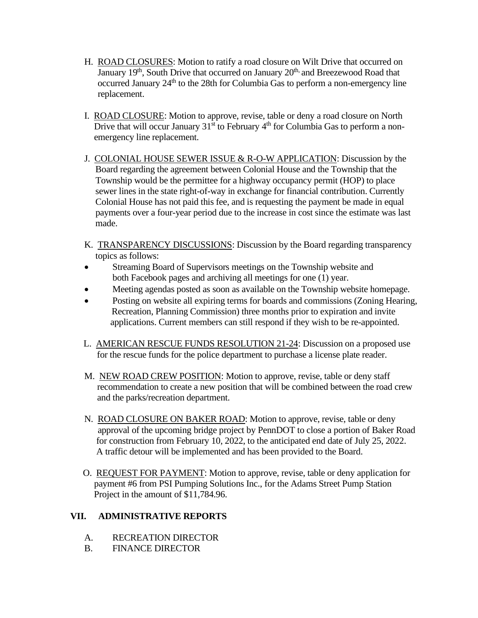- H. ROAD CLOSURES: Motion to ratify a road closure on Wilt Drive that occurred on January 19<sup>th</sup>, South Drive that occurred on January 20<sup>th,</sup> and Breezewood Road that occurred January 24<sup>th</sup> to the 28th for Columbia Gas to perform a non-emergency line replacement.
- I. ROAD CLOSURE: Motion to approve, revise, table or deny a road closure on North Drive that will occur January  $31<sup>st</sup>$  to February  $4<sup>th</sup>$  for Columbia Gas to perform a nonemergency line replacement.
- J. COLONIAL HOUSE SEWER ISSUE & R-O-W APPLICATION: Discussion by the Board regarding the agreement between Colonial House and the Township that the Township would be the permittee for a highway occupancy permit (HOP) to place sewer lines in the state right-of-way in exchange for financial contribution. Currently Colonial House has not paid this fee, and is requesting the payment be made in equal payments over a four-year period due to the increase in cost since the estimate was last made.
- K. TRANSPARENCY DISCUSSIONS: Discussion by the Board regarding transparency topics as follows:
- Streaming Board of Supervisors meetings on the Township website and both Facebook pages and archiving all meetings for one (1) year.
- Meeting agendas posted as soon as available on the Township website homepage.
- Posting on website all expiring terms for boards and commissions (Zoning Hearing, Recreation, Planning Commission) three months prior to expiration and invite applications. Current members can still respond if they wish to be re-appointed.
- L. AMERICAN RESCUE FUNDS RESOLUTION 21-24: Discussion on a proposed use for the rescue funds for the police department to purchase a license plate reader.
- M. NEW ROAD CREW POSITION: Motion to approve, revise, table or deny staff recommendation to create a new position that will be combined between the road crew and the parks/recreation department.
- N. ROAD CLOSURE ON BAKER ROAD: Motion to approve, revise, table or deny approval of the upcoming bridge project by PennDOT to close a portion of Baker Road for construction from February 10, 2022, to the anticipated end date of July 25, 2022. A traffic detour will be implemented and has been provided to the Board.
- O. REQUEST FOR PAYMENT: Motion to approve, revise, table or deny application for payment #6 from PSI Pumping Solutions Inc., for the Adams Street Pump Station Project in the amount of \$11,784.96.

# **VII. ADMINISTRATIVE REPORTS**

- A. RECREATION DIRECTOR
- B. FINANCE DIRECTOR